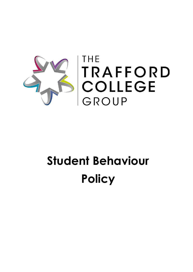

# **Student Behaviour Policy**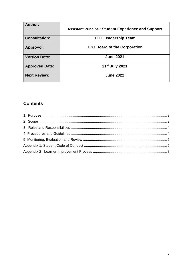| Author:               | <b>Assistant Principal: Student Experience and Support</b> |
|-----------------------|------------------------------------------------------------|
| <b>Consultation:</b>  | <b>TCG Leadership Team</b>                                 |
| Approval:             | <b>TCG Board of the Corporation</b>                        |
| <b>Version Date:</b>  | <b>June 2021</b>                                           |
| <b>Approved Date:</b> | 21 <sup>st</sup> July 2021                                 |
| <b>Next Review:</b>   | <b>June 2022</b>                                           |

## **Contents**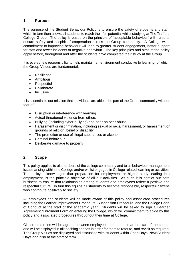## <span id="page-2-0"></span>**1. Purpose**

The purpose of the Student Behaviour Policy is to ensure the safety of students and staff, which in turn then allows all students to reach their full potential whilst studying at The Trafford College Group. The policy is based on the principle of 'acceptable behaviour' with rules to ensure safety and a spirit of cooperation across the Group community. A College wide commitment to improving behaviour will lead to greater student engagement, better support for staff and fewer incidents of negative behaviour. The key principles and aims of the policy apply before, throughout and after the students have completed their study at the Group.

It is everyone's responsibility to help maintain an environment conducive to learning, of which the Group Values are fundamental:

- Resilience
- Ambitious
- Respectful
- Collaborate
- **Inclusive**

It is essential to our mission that individuals are able to be part of the Group community without fear of:

- Disruption or interference with learning
- Actual threatened violence from others
- Bullying (including cyber bullying) and peer on peer abuse
- Harassment or discrimination, including sexual or racial harassment, or harassment on grounds of religion, belief or disability
- The promotion or use of illegal substances or alcohol
- Criminal behaviour
- Deliberate damage to property

## <span id="page-2-1"></span>**2. Scope**

This policy applies to all members of the college community and to all behaviour management issues arising within the College and/or whilst engaged in College related learning or activities. The policy acknowledges that preparation for employment or higher study leading into employment, is the principle objective of all our activities. As such it is part of our core business to ensure that relationships among students and employees reflect a positive and respectful culture. In turn this equips all students to become responsible, respectful citizens who contribute positively to society.

All employees and students will be made aware of this policy and associated procedures including the Learner Improvement Procedure, Suspension Procedure, and the College Code of Conduct at the start of the academic year. Students will be asked to sign a Learner Agreement /Enrolment Form on entering the College, which will commit them to abide by this policy and associated procedures throughout their time at College.

Classrooms rules will be agreed between employees and students at the start of the course and will be displayed in all teaching spaces in order for them to refer to, and revisit as required. The Group Values are displayed and discussed with students within Open Days, New Student Days and also at the start of term.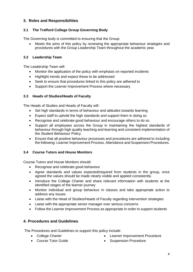## <span id="page-3-0"></span>**3. Roles and Responsibilities**

## **3.1 The Trafford College Group Governing Body**

The Governing body is committed to ensuring that the Group:

Meets the aims of this policy by reviewing the appropriate behaviour strategies and procedures with the Group Leadership Team throughout the academic year.

## **3.2 Leadership Team**

The Leadership Team will:

- Monitor the application of the policy with emphasis on reported incidents
- Highlight trends and expect these to be addressed
- Seek to ensure that procedures linked to this policy are adhered to
- Support the Learner Improvement Process where necessary

## **3.3 Heads of Studies/Heads of Faculty**

The Heads of Studies and Heads of Faculty will:

- Set high standards in terms of behaviour and attitudes towards learning
- Expect staff to uphold the high standards and support them in doing so
- Recognise and celebrate good behaviour and encourage others to do so
- Support all employees across the Group in maintaining the highest standards of behaviour through high quality teaching and learning and consistent implementation of the Student Behaviour Policy.
- Ensure that all positive behaviour processes and procedures are adhered to including the following: Learner Improvement Process, Attendance and Suspension Procedures.

## **3.4 Course Tutors and House Monitors**

Course Tutors and House Monitors should:

- Recognise and celebrate good behaviour
- Agree standards and values expected/required from students in the group, once agreed the values should be made clearly visible and applied consistently.
- Introduce the College Charter and share relevant information with students at the identified stages of the learner journey
- Monitor individual and group behaviour in classes and take appropriate action to address any issues
- Liaise with the Head of Studies/Heads of Faculty regarding intervention strategies
- Liaise with the appropriate senior manager over serious concerns
- Follow the Learner Improvement Process as appropriate in order to support students

## <span id="page-3-1"></span>**4. Procedures and Guidelines**

The Procedures and Guidelines to support this policy include:

- 
- College Charter College Charter Learner Improvement Procedure
- Course Tutor Guide Suspension Procedure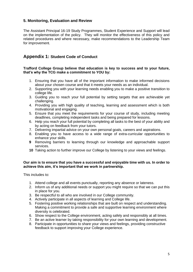## <span id="page-4-0"></span>**5. Monitoring, Evaluation and Review**

The Assistant Principal 16-19 Study Programmes, Student Experience and Support will lead on the implementation of the policy. They will monitor the effectiveness of this policy and related procedures and where necessary, make recommendations to the Leadership Team for improvement.

## <span id="page-4-1"></span>**Appendix 1: Student Code of Conduct**

#### **Trafford College Group believe that education is key to success and to your future, that's why the TCG make a commitment to YOU by:**

- 1. Ensuring that you have all of the important information to make informed decisions about your chosen course and that it meets your needs as an individual.
- 2. Supporting you with your learning needs enabling you to make a positive transition to college life.
- 3. Guiding you to reach your full potential by setting targets that are achievable yet challenging.
- 4. Providing you with high quality of teaching, learning and assessment which is both motivational and engaging.
- 5. Ensure that you meet the requirements for your course of study, including meeting deadlines, completing independent tasks and being prepared for lessons.
- 6. Help you reach your full potential by completing all tasks to the best of your ability and by acting on feedback from your tutors.
- 7. Delivering impartial advice on your own personal goals, careers and aspirations.
- 8. Enabling you to have access to a wide range of extra-curricular opportunities to enhance your skills.
- **9** Removing barriers to learning through our knowledge and approachable support services.
- **10** Taking action to further improve our College by listening to your views and feelings.

#### **Our aim is to ensure that you have a successful and enjoyable time with us. In order to achieve this aim, it's important that we work in partnership.**

This includes to:

- 1. Attend college and all events punctually, reporting any absence or lateness.
- 2. Inform us of any additional needs or support you might require so that we can put this in place for you.
- 3. Be respectful to all who are involved in our College community.
- 4. Actively participate in all aspects of learning and College life.
- 5. Fostering positive working relationships that are built on respect and understanding. Making a commitment to provide a safe and supportive learning environment where diversity is celebrated.
- 6. Show respect to the College environment, acting safely and responsibly at all times.
- 7. Be an active learner by taking responsibility for your own learning and development.
- 8. Participate in opportunities to share your views and feelings, providing constructive feedback to support improving your College experience.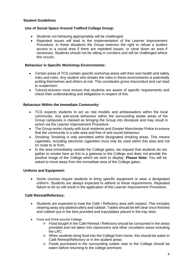#### **Student Guidelines**

#### **Use of Social Space Around Trafford College Group:**

- Students not behaving appropriately will be challenged.
- Repeated issues will lead to the implementation of the Learner Improvement Procedure. In these situations the Group reserves the right to refuse a student access to a social area if there are repeated issues, or close down an area if necessary. Students should not be sitting in corridors and will be challenged where this occurs.

#### **Behaviour in Specific Workshop Environments:**

- Certain areas of TCG contain specific workshop areas with their own health and safety risks and rules. Any student who breaks the rules in these environments is potentially putting themselves and others at risk. This constitutes gross misconduct and can lead to suspension.
- Tutors/Lecturers must ensure that students are aware of specific requirements and check their understanding and obligations in respect of this.

#### **Behaviour Within the Immediate Community:**

- TCG expects students to act as role models and ambassadors within the local community. Any anti-social behaviour within the surrounding estate areas of the Group campuses is classed as bringing the Group into disrepute and may result in action via the Learner Improvement Procedure.
- The Group works closely with local residents and Greater Manchester Police to ensure that the community is a safe area and free of anti-social behaviour.
- Smoking: Smoking is only permitted within designated smoking areas. This means cigarettes, including electronic cigarettes must only be used within this area and not on route to or from.
- In the area immediately outside the College gates, we request that students do not gather to smoke here as this is a gateway to the College and does not provide the positive image of the College which we wish to display. **Please Note:** You will be asked to move away from the immediate area of the College gates.

#### **Uniform and Equipment:**

• Some courses require students to bring specific equipment or wear a designated uniform. Students are always expected to adhere to these requirements. Repeated failure to do so will result in the application of the Learner Improvement Procedure.

#### **Café Retreat/Refectory:**

- Students are expected to treat the Café / Refectory area with respect. This includes clearing away any plates/cutlery and rubbish. Tables should be left clear once finished and rubbish put in the bins provided and trays/plates placed in the tray slots.
- Food and Drink around College:
	- $\triangleright$  Food bought in the Cafe Retreat / Refectory should be consumed in the areas provided and not taken into classrooms and other circulation areas including the LRC
	- $\triangleright$  When students bring food into the College from home, this should be eaten in Café Retreat/Refectory or in the student areas
	- $\triangleright$  Foods purchased in the surrounding outlets near to the College should be eaten before returning to the college premises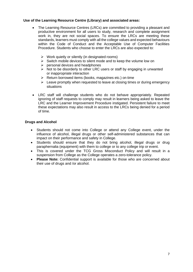#### **Use of the Learning Resource Centre (Library) and associated areas:**

- The Learning Resource Centres (LRCs) are committed to providing a pleasant and productive environment for all users to study, research and complete assignment work in, they are not social spaces. To ensure the LRCs are meeting these standards, learners must comply with all the college values and expected behaviours within the Code of Conduct and the Acceptable Use of Computer Facilities Procedure. Students who choose to enter the LRCs are also expected to:
	- $\triangleright$  Work quietly or silently (in designated rooms)
	- $\triangleright$  Switch mobile devices to silent mode and to keep the volume low on
	- $\triangleright$  personal devices and headphones
	- ➢ Not to be disorderly to other LRC users or staff by engaging in unwanted or inappropriate interaction
	- ➢ Return borrowed items (books, magazines etc.) on time
	- $\triangleright$  Leave promptly when requested to leave at closing times or during emergency situations
- LRC staff will challenge students who do not behave appropriately. Repeated ignoring of staff requests to comply may result in learners being asked to leave the LRC and the Learner Improvement Procedure instigated. Persistent failure to meet these expectations may also result in access to the LRCs being denied for a period of time.

#### **Drugs and Alcohol**

- Students should not come into College or attend any College event, under the influence of alcohol, illegal drugs or other self-administered substances that can impact on their performance and safety in College.
- Students should ensure that they do not bring alcohol, illegal drugs or drug paraphernalia (equipment) with them to college or to any college trip or event.
- This is covered under the TCG Gross Misconduct Policy and will result in a suspension from College as the College operates a zero-tolerance policy.
- **Please Note:** Confidential support is available for those who are concerned about their use of drugs and /or alcohol.